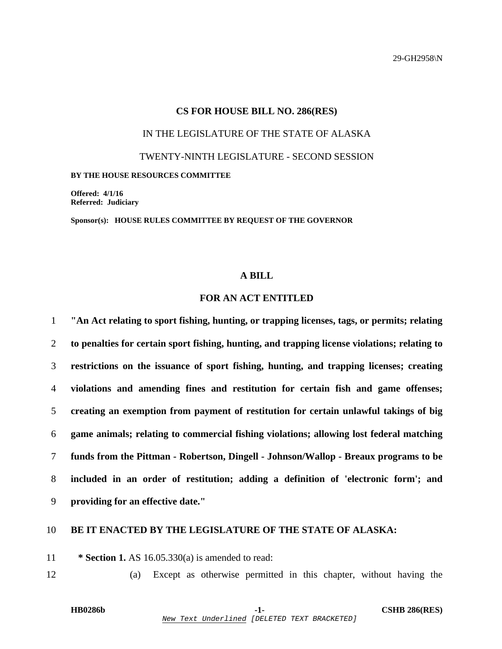29-GH2958\N

#### **CS FOR HOUSE BILL NO. 286(RES)**

### IN THE LEGISLATURE OF THE STATE OF ALASKA

TWENTY-NINTH LEGISLATURE - SECOND SESSION

**BY THE HOUSE RESOURCES COMMITTEE** 

**Offered: 4/1/16 Referred: Judiciary** 

**Sponsor(s): HOUSE RULES COMMITTEE BY REQUEST OF THE GOVERNOR** 

### **A BILL**

# **FOR AN ACT ENTITLED**

**"An Act relating to sport fishing, hunting, or trapping licenses, tags, or permits; relating to penalties for certain sport fishing, hunting, and trapping license violations; relating to restrictions on the issuance of sport fishing, hunting, and trapping licenses; creating violations and amending fines and restitution for certain fish and game offenses; creating an exemption from payment of restitution for certain unlawful takings of big game animals; relating to commercial fishing violations; allowing lost federal matching funds from the Pittman - Robertson, Dingell - Johnson/Wallop - Breaux programs to be included in an order of restitution; adding a definition of 'electronic form'; and providing for an effective date."** 

## 10 **BE IT ENACTED BY THE LEGISLATURE OF THE STATE OF ALASKA:**

11 **\* Section 1.** AS 16.05.330(a) is amended to read:

12 (a) Except as otherwise permitted in this chapter, without having the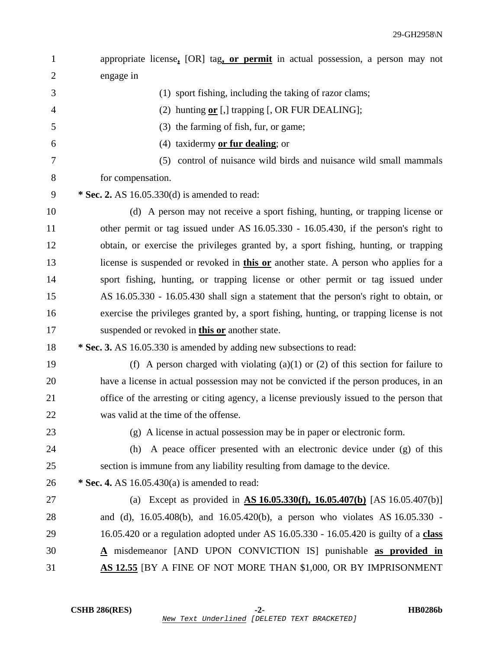| 1              | appropriate license, [OR] tag, or permit in actual possession, a person may not                      |
|----------------|------------------------------------------------------------------------------------------------------|
| $\overline{2}$ | engage in                                                                                            |
| 3              | (1) sport fishing, including the taking of razor clams;                                              |
| 4              | (2) hunting $or$ [,] trapping [, OR FUR DEALING];                                                    |
| 5              | (3) the farming of fish, fur, or game;                                                               |
| 6              | (4) taxidermy $or fur dealing; or$                                                                   |
| 7              | (5) control of nuisance wild birds and nuisance wild small mammals                                   |
| 8              | for compensation.                                                                                    |
| 9              | * Sec. 2. AS 16.05.330(d) is amended to read:                                                        |
| 10             | (d) A person may not receive a sport fishing, hunting, or trapping license or                        |
| 11             | other permit or tag issued under AS 16.05.330 - 16.05.430, if the person's right to                  |
| 12             | obtain, or exercise the privileges granted by, a sport fishing, hunting, or trapping                 |
| 13             | license is suspended or revoked in <b>this or</b> another state. A person who applies for a          |
| 14             | sport fishing, hunting, or trapping license or other permit or tag issued under                      |
| 15             | AS 16.05.330 - 16.05.430 shall sign a statement that the person's right to obtain, or                |
| 16             | exercise the privileges granted by, a sport fishing, hunting, or trapping license is not             |
| 17             | suspended or revoked in <b>this or</b> another state.                                                |
| 18             | * Sec. 3. AS 16.05.330 is amended by adding new subsections to read:                                 |
| 19             | (f) A person charged with violating (a)(1) or (2) of this section for failure to                     |
| 20             | have a license in actual possession may not be convicted if the person produces, in an               |
| 21             | office of the arresting or citing agency, a license previously issued to the person that             |
| 22             | was valid at the time of the offense.                                                                |
| 23             | (g) A license in actual possession may be in paper or electronic form.                               |
| 24             | A peace officer presented with an electronic device under (g) of this<br>(h)                         |
| 25             | section is immune from any liability resulting from damage to the device.                            |
| 26             | * Sec. 4. AS $16.05.430(a)$ is amended to read:                                                      |
| 27             | (a) Except as provided in $\overline{AS 16.05.330(f)}$ , $\overline{16.05.407(b)}$ [AS 16.05.407(b)] |
| 28             | and (d), $16.05.408(b)$ , and $16.05.420(b)$ , a person who violates AS $16.05.330$ -                |
| 29             | 16.05.420 or a regulation adopted under AS 16.05.330 - 16.05.420 is guilty of a class                |
| 30             | A misdemeanor [AND UPON CONVICTION IS] punishable as provided in                                     |
| 31             | AS 12.55 JBY A FINE OF NOT MORE THAN \$1,000, OR BY IMPRISONMENT                                     |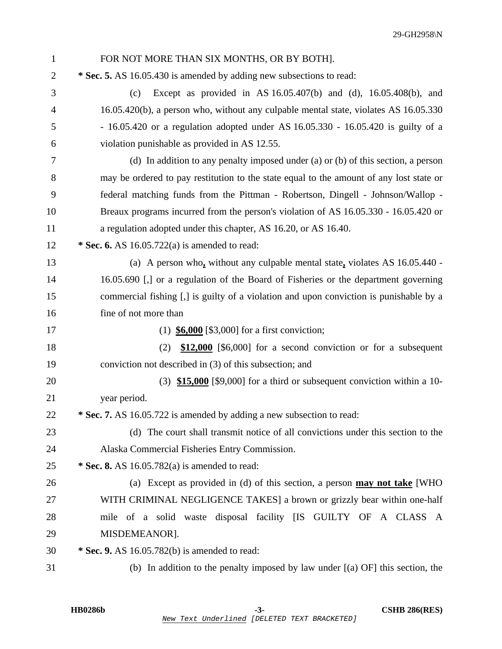| $\mathbf{1}$   | FOR NOT MORE THAN SIX MONTHS, OR BY BOTH].                                              |
|----------------|-----------------------------------------------------------------------------------------|
| $\overline{2}$ | * Sec. 5. AS 16.05.430 is amended by adding new subsections to read:                    |
| 3              | Except as provided in AS $16.05.407(b)$ and (d), $16.05.408(b)$ , and<br>(c)            |
| $\overline{4}$ | 16.05.420(b), a person who, without any culpable mental state, violates AS 16.05.330    |
| 5              | $-16.05.420$ or a regulation adopted under AS $16.05.330 - 16.05.420$ is guilty of a    |
| 6              | violation punishable as provided in AS 12.55.                                           |
| 7              | (d) In addition to any penalty imposed under (a) or (b) of this section, a person       |
| 8              | may be ordered to pay restitution to the state equal to the amount of any lost state or |
| 9              | federal matching funds from the Pittman - Robertson, Dingell - Johnson/Wallop -         |
| 10             | Breaux programs incurred from the person's violation of AS 16.05.330 - 16.05.420 or     |
| 11             | a regulation adopted under this chapter, AS 16.20, or AS 16.40.                         |
| 12             | * Sec. 6. AS 16.05.722(a) is amended to read:                                           |
| 13             | (a) A person who, without any culpable mental state, violates AS $16.05.440$ -          |
| 14             | 16.05.690 [,] or a regulation of the Board of Fisheries or the department governing     |
| 15             | commercial fishing [,] is guilty of a violation and upon conviction is punishable by a  |
| 16             | fine of not more than                                                                   |
| 17             | (1) $$6,000$ [\$3,000] for a first conviction;                                          |
| 18             | $$12,000$ [\$6,000] for a second conviction or for a subsequent<br>(2)                  |
| 19             | conviction not described in (3) of this subsection; and                                 |
| 20             | $(3)$ \$15,000 [\$9,000] for a third or subsequent conviction within a 10-              |
| 21             | year period.                                                                            |
| 22             | * Sec. 7. AS 16.05.722 is amended by adding a new subsection to read:                   |
| 23             | (d) The court shall transmit notice of all convictions under this section to the        |
| 24             | Alaska Commercial Fisheries Entry Commission.                                           |
| 25             | * Sec. 8. AS $16.05.782(a)$ is amended to read:                                         |
| 26             | (a) Except as provided in (d) of this section, a person $\frac{may}{may}$ not take [WHO |
| 27             | WITH CRIMINAL NEGLIGENCE TAKES] a brown or grizzly bear within one-half                 |
| 28             | mile of a solid waste disposal facility [IS GUILTY OF A CLASS A                         |
| 29             | MISDEMEANOR].                                                                           |
| 30             | * Sec. 9. AS 16.05.782(b) is amended to read:                                           |
| 31             | (b) In addition to the penalty imposed by law under $[(a)$ OF] this section, the        |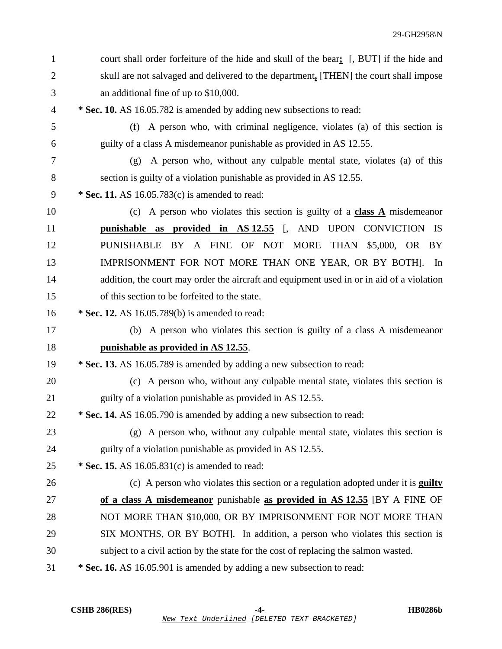| 1              | court shall order forfeiture of the hide and skull of the bear, [, BUT] if the hide and   |
|----------------|-------------------------------------------------------------------------------------------|
| $\overline{2}$ | skull are not salvaged and delivered to the department, [THEN] the court shall impose     |
| 3              | an additional fine of up to \$10,000.                                                     |
| 4              | * Sec. 10. AS 16.05.782 is amended by adding new subsections to read:                     |
| 5              | (f) A person who, with criminal negligence, violates (a) of this section is               |
| 6              | guilty of a class A misdemeanor punishable as provided in AS 12.55.                       |
| 7              | A person who, without any culpable mental state, violates (a) of this<br>(g)              |
| 8              | section is guilty of a violation punishable as provided in AS 12.55.                      |
| 9              | * Sec. 11. AS 16.05.783(c) is amended to read:                                            |
| 10             | (c) A person who violates this section is guilty of a class $\overline{A}$ misdemeanor    |
| 11             | punishable as provided in AS12.55 [, AND UPON CONVICTION<br>IS                            |
| 12             | PUNISHABLE BY A FINE OF NOT MORE<br>THAN \$5,000, OR BY                                   |
| 13             | IMPRISONMENT FOR NOT MORE THAN ONE YEAR, OR BY BOTH].<br>In                               |
| 14             | addition, the court may order the aircraft and equipment used in or in aid of a violation |
| 15             | of this section to be forfeited to the state.                                             |
| 16             | * Sec. 12. AS 16.05.789(b) is amended to read:                                            |
| 17             | (b) A person who violates this section is guilty of a class A misdemeanor                 |
| 18             | punishable as provided in AS 12.55.                                                       |
| 19             | * Sec. 13. AS 16.05.789 is amended by adding a new subsection to read:                    |
| 20             | (c) A person who, without any culpable mental state, violates this section is             |
| 21             | guilty of a violation punishable as provided in AS 12.55.                                 |
| 22             | * Sec. 14. AS 16.05.790 is amended by adding a new subsection to read:                    |
| 23             | (g) A person who, without any culpable mental state, violates this section is             |
| 24             | guilty of a violation punishable as provided in AS 12.55.                                 |
| 25             | * Sec. 15. AS $16.05.831(c)$ is amended to read:                                          |
| 26             | (c) A person who violates this section or a regulation adopted under it is <b>guilty</b>  |
| 27             | of a class A misdemeanor punishable as provided in AS 12.55 (BY A FINE OF                 |
| 28             | NOT MORE THAN \$10,000, OR BY IMPRISONMENT FOR NOT MORE THAN                              |
| 29             | SIX MONTHS, OR BY BOTH]. In addition, a person who violates this section is               |
| 30             | subject to a civil action by the state for the cost of replacing the salmon wasted.       |
| 31             | * Sec. 16. AS 16.05.901 is amended by adding a new subsection to read:                    |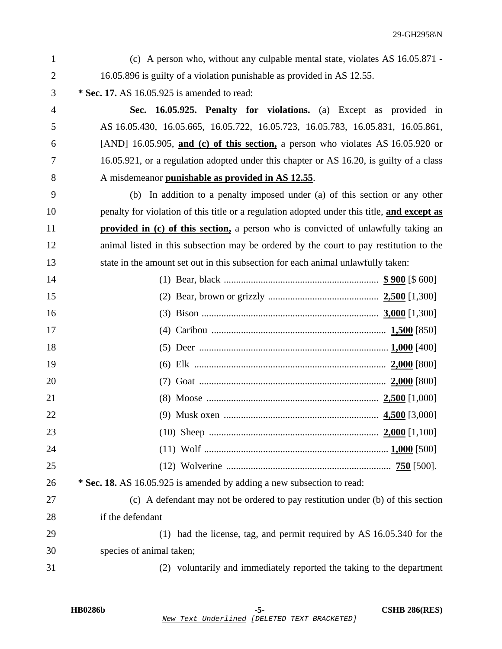- 1 (c) A person who, without any culpable mental state, violates AS 16.05.871 2 16.05.896 is guilty of a violation punishable as provided in AS 12.55. 3 **\* Sec. 17.** AS 16.05.925 is amended to read: 4 **Sec. 16.05.925. Penalty for violations.** (a) Except as provided in 5 AS 16.05.430, 16.05.665, 16.05.722, 16.05.723, 16.05.783, 16.05.831, 16.05.861, 6 [AND] 16.05.905, **and (c) of this section,** a person who violates AS 16.05.920 or 7 16.05.921, or a regulation adopted under this chapter or AS 16.20, is guilty of a class 8 A misdemeanor **punishable as provided in AS 12.55**. 9 (b) In addition to a penalty imposed under (a) of this section or any other 10 penalty for violation of this title or a regulation adopted under this title, **and except as** 11 **provided in (c) of this section,** a person who is convicted of unlawfully taking an 12 animal listed in this subsection may be ordered by the court to pay restitution to the 13 state in the amount set out in this subsection for each animal unlawfully taken: 14 (1) Bear, black ............................................................... **\$ 900** [\$ 600] 15 (2) Bear, brown or grizzly ............................................. **2,500** [1,300] 16 (3) Bison ........................................................................ **3,000** [1,300] 17 (4) Caribou ....................................................................... **1,500** [850] 18 (5) Deer ............................................................................. **1,000** [400] 19 (6) Elk .............................................................................. **2,000** [800] 20 (7) Goat ............................................................................ **2,000** [800] 21 (8) Moose ...................................................................... **2,500** [1,000] 22 (9) Musk oxen ............................................................... **4,500** [3,000] 23 (10) Sheep ..................................................................... **2,000** [1,100] 24 (11) Wolf ........................................................................... **1,000** [500] 25 (12) Wolverine ................................................................... **750** [500]. 26 **\* Sec. 18.** AS 16.05.925 is amended by adding a new subsection to read: 27 (c) A defendant may not be ordered to pay restitution under (b) of this section 28 if the defendant 29 (1) had the license, tag, and permit required by AS 16.05.340 for the
- 30 species of animal taken;
- 31 (2) voluntarily and immediately reported the taking to the department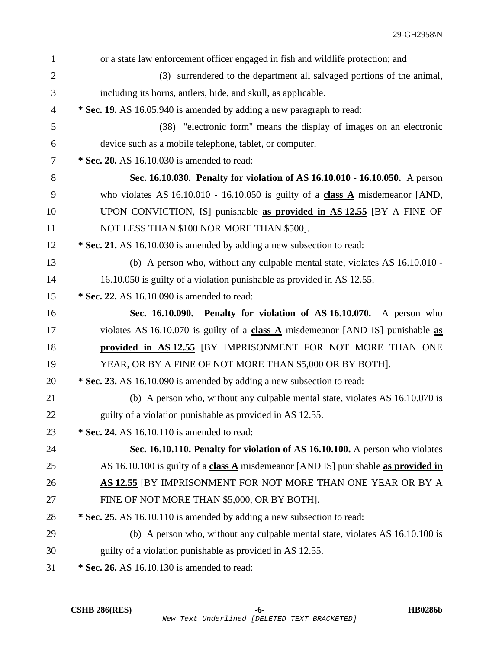| $\mathbf{1}$   | or a state law enforcement officer engaged in fish and wildlife protection; and              |
|----------------|----------------------------------------------------------------------------------------------|
| $\overline{2}$ | (3) surrendered to the department all salvaged portions of the animal,                       |
| 3              | including its horns, antlers, hide, and skull, as applicable.                                |
| $\overline{4}$ | * Sec. 19. AS 16.05.940 is amended by adding a new paragraph to read:                        |
| 5              | (38) "electronic form" means the display of images on an electronic                          |
| 6              | device such as a mobile telephone, tablet, or computer.                                      |
| $\tau$         | * Sec. 20. AS 16.10.030 is amended to read:                                                  |
| 8              | Sec. 16.10.030. Penalty for violation of AS 16.10.010 - 16.10.050. A person                  |
| 9              | who violates AS $16.10.010 - 16.10.050$ is guilty of a class A misdemeanor [AND,             |
| 10             | UPON CONVICTION, IS] punishable as provided in AS 12.55 [BY A FINE OF                        |
| 11             | NOT LESS THAN \$100 NOR MORE THAN \$500].                                                    |
| 12             | * Sec. 21. AS 16.10.030 is amended by adding a new subsection to read:                       |
| 13             | (b) A person who, without any culpable mental state, violates AS 16.10.010 -                 |
| 14             | 16.10.050 is guilty of a violation punishable as provided in AS 12.55.                       |
| 15             | * Sec. 22. AS 16.10.090 is amended to read:                                                  |
| 16             | Sec. 16.10.090. Penalty for violation of AS 16.10.070. A person who                          |
| 17             | violates AS 16.10.070 is guilty of a class $\overline{A}$ misdemeanor [AND IS] punishable as |
| 18             | provided in AS 12.55 [BY IMPRISONMENT FOR NOT MORE THAN ONE                                  |
| 19             | YEAR, OR BY A FINE OF NOT MORE THAN \$5,000 OR BY BOTH].                                     |
| 20             | * Sec. 23. AS 16.10.090 is amended by adding a new subsection to read:                       |
| 21             | (b) A person who, without any culpable mental state, violates AS 16.10.070 is                |
| 22             | guilty of a violation punishable as provided in AS 12.55.                                    |
| 23             | * Sec. 24. AS 16.10.110 is amended to read:                                                  |
| 24             | Sec. 16.10.110. Penalty for violation of AS 16.10.100. A person who violates                 |
| 25             | AS 16.10.100 is guilty of a class $\triangle$ misdemeanor [AND IS] punishable as provided in |
| 26             | AS 12.55 [BY IMPRISONMENT FOR NOT MORE THAN ONE YEAR OR BY A                                 |
| 27             | FINE OF NOT MORE THAN \$5,000, OR BY BOTH].                                                  |
| 28             | * Sec. 25. AS 16.10.110 is amended by adding a new subsection to read:                       |
| 29             | (b) A person who, without any culpable mental state, violates AS 16.10.100 is                |
| 30             | guilty of a violation punishable as provided in AS 12.55.                                    |
| 31             | * Sec. 26. AS 16.10.130 is amended to read:                                                  |